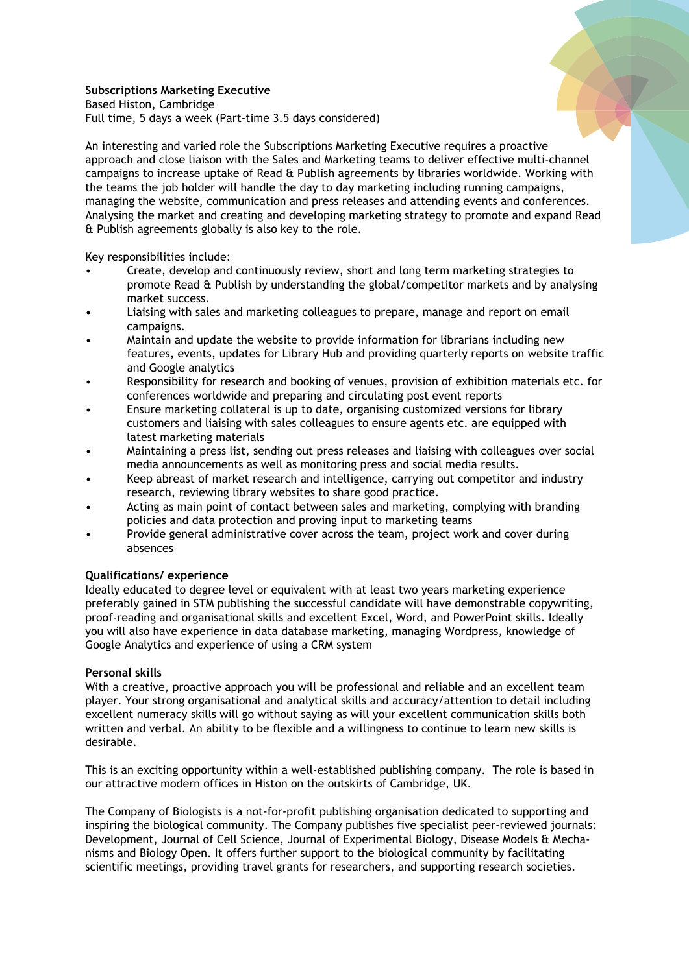## **Subscriptions Marketing Executive**

Based Histon, Cambridge Full time, 5 days a week (Part-time 3.5 days considered)

An interesting and varied role the Subscriptions Marketing Executive requires a proactive approach and close liaison with the Sales and Marketing teams to deliver effective multi-channel campaigns to increase uptake of Read & Publish agreements by libraries worldwide. Working with the teams the job holder will handle the day to day marketing including running campaigns, managing the website, communication and press releases and attending events and conferences. Analysing the market and creating and developing marketing strategy to promote and expand Read & Publish agreements globally is also key to the role.

Key responsibilities include:

- Create, develop and continuously review, short and long term marketing strategies to promote Read & Publish by understanding the global/competitor markets and by analysing market success.
- Liaising with sales and marketing colleagues to prepare, manage and report on email campaigns.
- Maintain and update the website to provide information for librarians including new features, events, updates for Library Hub and providing quarterly reports on website traffic and Google analytics
- Responsibility for research and booking of venues, provision of exhibition materials etc. for conferences worldwide and preparing and circulating post event reports
- Ensure marketing collateral is up to date, organising customized versions for library customers and liaising with sales colleagues to ensure agents etc. are equipped with latest marketing materials
- Maintaining a press list, sending out press releases and liaising with colleagues over social media announcements as well as monitoring press and social media results.
- Keep abreast of market research and intelligence, carrying out competitor and industry research, reviewing library websites to share good practice.
- Acting as main point of contact between sales and marketing, complying with branding policies and data protection and proving input to marketing teams
- Provide general administrative cover across the team, project work and cover during absences

## **Qualifications/ experience**

Ideally educated to degree level or equivalent with at least two years marketing experience preferably gained in STM publishing the successful candidate will have demonstrable copywriting, proof-reading and organisational skills and excellent Excel, Word, and PowerPoint skills. Ideally you will also have experience in data database marketing, managing Wordpress, knowledge of Google Analytics and experience of using a CRM system

## **Personal skills**

With a creative, proactive approach you will be professional and reliable and an excellent team player. Your strong organisational and analytical skills and accuracy/attention to detail including excellent numeracy skills will go without saying as will your excellent communication skills both written and verbal. An ability to be flexible and a willingness to continue to learn new skills is desirable.

This is an exciting opportunity within a well-established publishing company. The role is based in our attractive modern offices in Histon on the outskirts of Cambridge, UK.

The Company of Biologists is a not-for-profit publishing organisation dedicated to supporting and inspiring the biological community. The Company publishes five specialist peer-reviewed journals: Development, Journal of Cell Science, Journal of Experimental Biology, Disease Models & Mechanisms and Biology Open. It offers further support to the biological community by facilitating scientific meetings, providing travel grants for researchers, and supporting research societies.